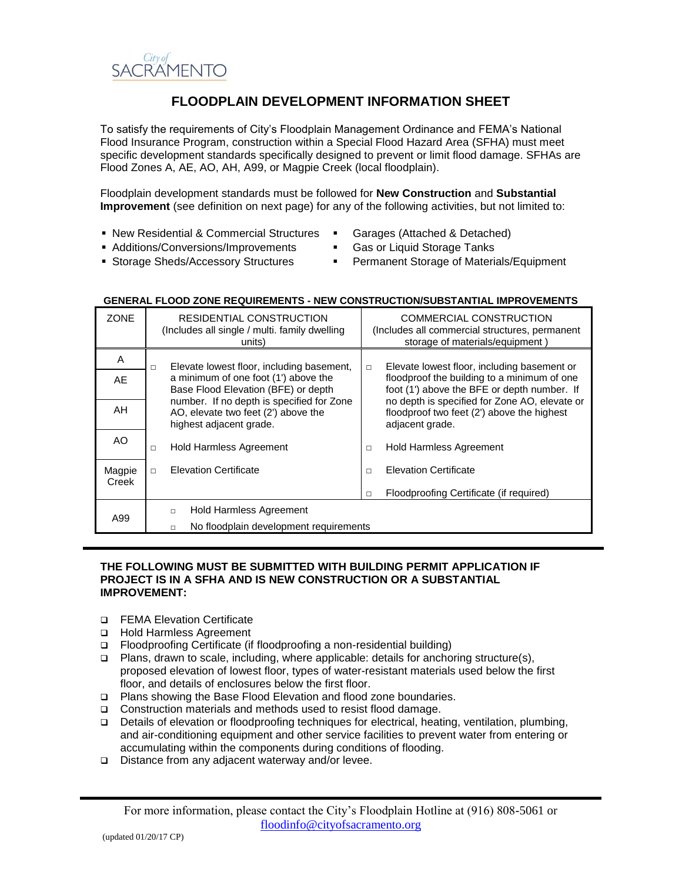

# **FLOODPLAIN DEVELOPMENT INFORMATION SHEET**

To satisfy the requirements of City's Floodplain Management Ordinance and FEMA's National Flood Insurance Program, construction within a Special Flood Hazard Area (SFHA) must meet specific development standards specifically designed to prevent or limit flood damage. SFHAs are Flood Zones A, AE, AO, AH, A99, or Magpie Creek (local floodplain).

Floodplain development standards must be followed for **New Construction** and **Substantial Improvement** (see definition on next page) for any of the following activities, but not limited to:

- New Residential & Commercial Structures
- Garages (Attached & Detached)
- Additions/Conversions/Improvements **Storage Sheds/Accessory Structures**
- Gas or Liquid Storage Tanks Permanent Storage of Materials/Equipment

| <b>ZONE</b> | RESIDENTIAL CONSTRUCTION<br>(Includes all single / multi. family dwelling<br>units)                         | COMMERCIAL CONSTRUCTION<br>(Includes all commercial structures, permanent<br>storage of materials/equipment)   |
|-------------|-------------------------------------------------------------------------------------------------------------|----------------------------------------------------------------------------------------------------------------|
| A           | Elevate lowest floor, including basement,<br>$\Box$                                                         | Elevate lowest floor, including basement or<br>$\Box$                                                          |
| AE          | a minimum of one foot (1') above the<br>Base Flood Elevation (BFE) or depth                                 | floodproof the building to a minimum of one<br>foot (1') above the BFE or depth number. If                     |
| AH          | number. If no depth is specified for Zone<br>AO, elevate two feet (2') above the<br>highest adjacent grade. | no depth is specified for Zone AO, elevate or<br>floodproof two feet (2') above the highest<br>adjacent grade. |
| AO.         | <b>Hold Harmless Agreement</b><br>П                                                                         | <b>Hold Harmless Agreement</b><br>П                                                                            |
| Magpie      | <b>Elevation Certificate</b><br>$\Box$                                                                      | <b>Elevation Certificate</b><br>$\Box$                                                                         |
| Creek       |                                                                                                             | Floodproofing Certificate (if required)<br>П                                                                   |
| A99         | <b>Hold Harmless Agreement</b><br>п                                                                         |                                                                                                                |
|             | No floodplain development requirements<br>п                                                                 |                                                                                                                |

### **GENERAL FLOOD ZONE REQUIREMENTS - NEW CONSTRUCTION/SUBSTANTIAL IMPROVEMENTS**

#### **THE FOLLOWING MUST BE SUBMITTED WITH BUILDING PERMIT APPLICATION IF PROJECT IS IN A SFHA AND IS NEW CONSTRUCTION OR A SUBSTANTIAL IMPROVEMENT:**

- □ FEMA Elevation Certificate
- □ Hold Harmless Agreement
- □ Floodproofing Certificate (if floodproofing a non-residential building)
- Plans, drawn to scale, including, where applicable: details for anchoring structure(s), proposed elevation of lowest floor, types of water-resistant materials used below the first floor, and details of enclosures below the first floor.
- □ Plans showing the Base Flood Elevation and flood zone boundaries.
- □ Construction materials and methods used to resist flood damage.
- Details of elevation or floodproofing techniques for electrical, heating, ventilation, plumbing, and air-conditioning equipment and other service facilities to prevent water from entering or accumulating within the components during conditions of flooding.
- $\square$  Distance from any adjacent waterway and/or levee.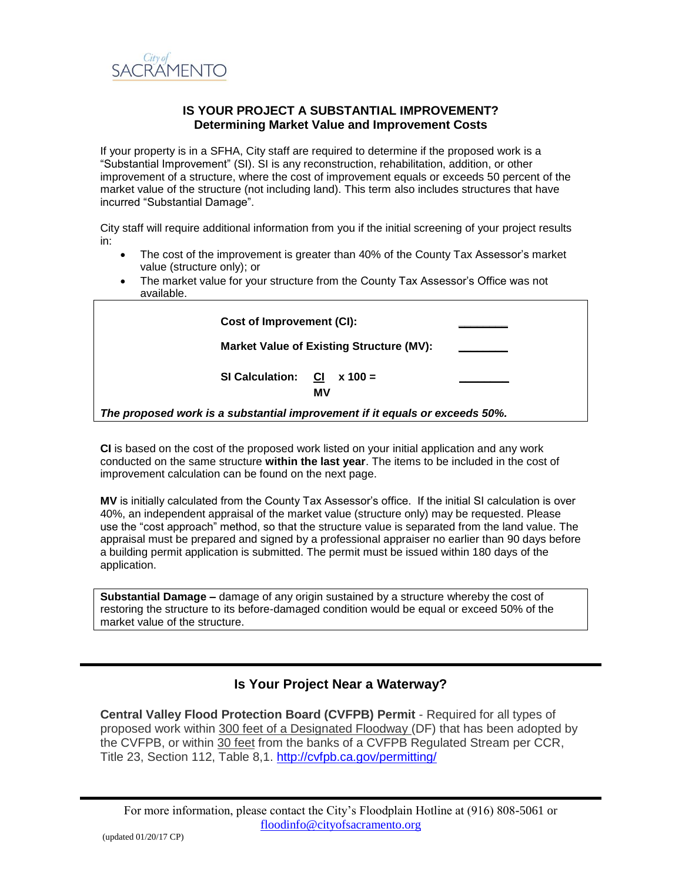

## **IS YOUR PROJECT A SUBSTANTIAL IMPROVEMENT? Determining Market Value and Improvement Costs**

If your property is in a SFHA, City staff are required to determine if the proposed work is a "Substantial Improvement" (SI). SI is any reconstruction, rehabilitation, addition, or other improvement of a structure, where the cost of improvement equals or exceeds 50 percent of the market value of the structure (not including land). This term also includes structures that have incurred "Substantial Damage".

City staff will require additional information from you if the initial screening of your project results in:

- The cost of the improvement is greater than 40% of the County Tax Assessor's market value (structure only); or
- The market value for your structure from the County Tax Assessor's Office was not available.

| Cost of Improvement (CI):                                                   |  |
|-----------------------------------------------------------------------------|--|
| Market Value of Existing Structure (MV):                                    |  |
| <b>SI Calculation:</b><br><b>CI</b><br>$x = 100 =$<br>МV                    |  |
| The proposed work is a substantial improvement if it equals or exceeds 50%. |  |

**CI** is based on the cost of the proposed work listed on your initial application and any work conducted on the same structure **within the last year**. The items to be included in the cost of improvement calculation can be found on the next page.

**MV** is initially calculated from the County Tax Assessor's office. If the initial SI calculation is over 40%, an independent appraisal of the market value (structure only) may be requested. Please use the "cost approach" method, so that the structure value is separated from the land value. The appraisal must be prepared and signed by a professional appraiser no earlier than 90 days before a building permit application is submitted. The permit must be issued within 180 days of the application.

**Substantial Damage –** damage of any origin sustained by a structure whereby the cost of restoring the structure to its before-damaged condition would be equal or exceed 50% of the market value of the structure.

## **Is Your Project Near a Waterway?**

**Central Valley Flood Protection Board (CVFPB) Permit** - Required for all types of proposed work within 300 feet of a Designated Floodway (DF) that has been adopted by the CVFPB, or within 30 feet from the banks of a CVFPB Regulated Stream per CCR, Title 23, Section 112, Table 8,1.<http://cvfpb.ca.gov/permitting/>